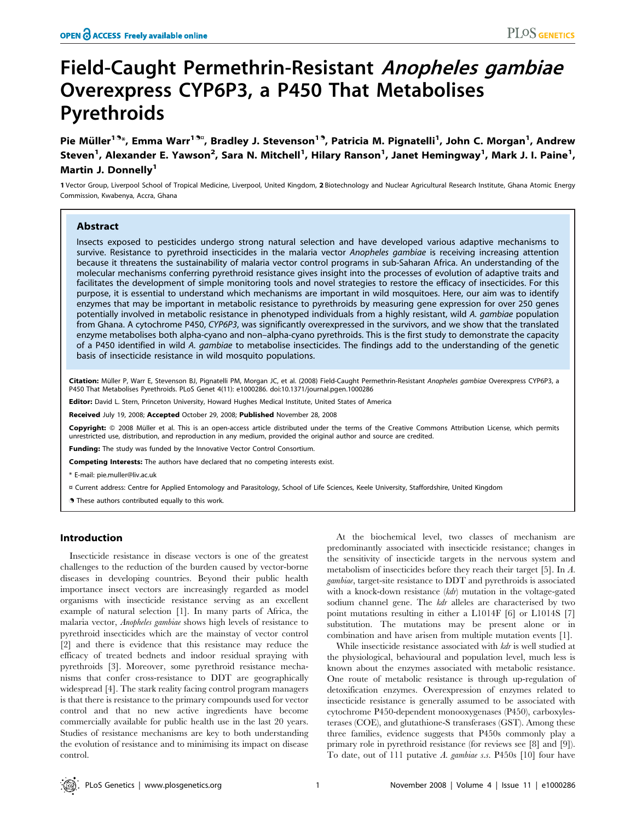# Field-Caught Permethrin-Resistant Anopheles gambiae Overexpress CYP6P3, a P450 That Metabolises Pyrethroids

Pie Müller<sup>19</sup>\*, Emma Warr<sup>19¤</sup>, Bradley J. Stevenson<sup>19</sup>, Patricia M. Pignatelli<sup>1</sup>, John C. Morgan<sup>1</sup>, Andrew Steven<sup>1</sup>, Alexander E. Yawson<sup>2</sup>, Sara N. Mitchell<sup>1</sup>, Hilary Ranson<sup>1</sup>, Janet Hemingway<sup>1</sup>, Mark J. I. Paine<sup>1</sup>, Martin J. Donnelly<sup>1</sup>

1 Vector Group, Liverpool School of Tropical Medicine, Liverpool, United Kingdom, 2 Biotechnology and Nuclear Agricultural Research Institute, Ghana Atomic Energy Commission, Kwabenya, Accra, Ghana

# Abstract

Insects exposed to pesticides undergo strong natural selection and have developed various adaptive mechanisms to survive. Resistance to pyrethroid insecticides in the malaria vector Anopheles gambiae is receiving increasing attention because it threatens the sustainability of malaria vector control programs in sub-Saharan Africa. An understanding of the molecular mechanisms conferring pyrethroid resistance gives insight into the processes of evolution of adaptive traits and facilitates the development of simple monitoring tools and novel strategies to restore the efficacy of insecticides. For this purpose, it is essential to understand which mechanisms are important in wild mosquitoes. Here, our aim was to identify enzymes that may be important in metabolic resistance to pyrethroids by measuring gene expression for over 250 genes potentially involved in metabolic resistance in phenotyped individuals from a highly resistant, wild A. gambiae population from Ghana. A cytochrome P450, CYP6P3, was significantly overexpressed in the survivors, and we show that the translated enzyme metabolises both alpha-cyano and non–alpha-cyano pyrethroids. This is the first study to demonstrate the capacity of a P450 identified in wild A. gambiae to metabolise insecticides. The findings add to the understanding of the genetic basis of insecticide resistance in wild mosquito populations.

Citation: Müller P, Warr E, Stevenson BJ, Pignatelli PM, Morgan JC, et al. (2008) Field-Caught Permethrin-Resistant Anopheles gambiae Overexpress CYP6P3, a P450 That Metabolises Pyrethroids. PLoS Genet 4(11): e1000286. doi:10.1371/journal.pgen.1000286

Editor: David L. Stern, Princeton University, Howard Hughes Medical Institute, United States of America

Received July 19, 2008; Accepted October 29, 2008; Published November 28, 2008

Copyright: @ 2008 Müller et al. This is an open-access article distributed under the terms of the Creative Commons Attribution License, which permits unrestricted use, distribution, and reproduction in any medium, provided the original author and source are credited.

Funding: The study was funded by the Innovative Vector Control Consortium.

Competing Interests: The authors have declared that no competing interests exist.

\* E-mail: pie.muller@liv.ac.uk

¤ Current address: Centre for Applied Entomology and Parasitology, School of Life Sciences, Keele University, Staffordshire, United Kingdom

. These authors contributed equally to this work.

## Introduction

Insecticide resistance in disease vectors is one of the greatest challenges to the reduction of the burden caused by vector-borne diseases in developing countries. Beyond their public health importance insect vectors are increasingly regarded as model organisms with insecticide resistance serving as an excellent example of natural selection [1]. In many parts of Africa, the malaria vector, Anopheles gambiae shows high levels of resistance to pyrethroid insecticides which are the mainstay of vector control [2] and there is evidence that this resistance may reduce the efficacy of treated bednets and indoor residual spraying with pyrethroids [3]. Moreover, some pyrethroid resistance mechanisms that confer cross-resistance to DDT are geographically widespread [4]. The stark reality facing control program managers is that there is resistance to the primary compounds used for vector control and that no new active ingredients have become commercially available for public health use in the last 20 years. Studies of resistance mechanisms are key to both understanding the evolution of resistance and to minimising its impact on disease control.

At the biochemical level, two classes of mechanism are predominantly associated with insecticide resistance; changes in the sensitivity of insecticide targets in the nervous system and metabolism of insecticides before they reach their target [5]. In A. gambiae, target-site resistance to DDT and pyrethroids is associated with a knock-down resistance (kdr) mutation in the voltage-gated sodium channel gene. The *kdr* alleles are characterised by two point mutations resulting in either a L1014F [6] or L1014S [7] substitution. The mutations may be present alone or in combination and have arisen from multiple mutation events [1].

While insecticide resistance associated with *kdr* is well studied at the physiological, behavioural and population level, much less is known about the enzymes associated with metabolic resistance. One route of metabolic resistance is through up-regulation of detoxification enzymes. Overexpression of enzymes related to insecticide resistance is generally assumed to be associated with cytochrome P450-dependent monooxygenases (P450), carboxylesterases (COE), and glutathione-S transferases (GST). Among these three families, evidence suggests that P450s commonly play a primary role in pyrethroid resistance (for reviews see [8] and [9]). To date, out of 111 putative A. gambiae s.s. P450s [10] four have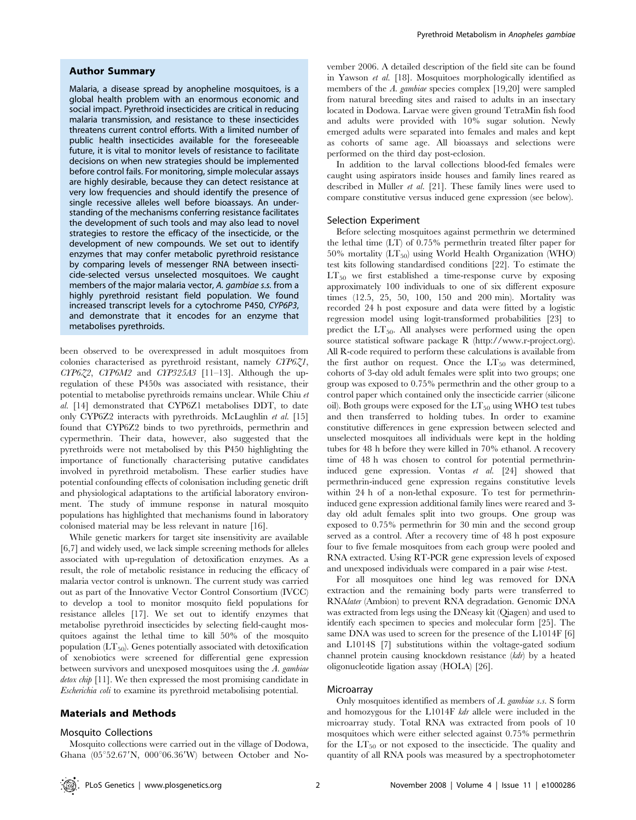## Author Summary

Malaria, a disease spread by anopheline mosquitoes, is a global health problem with an enormous economic and social impact. Pyrethroid insecticides are critical in reducing malaria transmission, and resistance to these insecticides threatens current control efforts. With a limited number of public health insecticides available for the foreseeable future, it is vital to monitor levels of resistance to facilitate decisions on when new strategies should be implemented before control fails. For monitoring, simple molecular assays are highly desirable, because they can detect resistance at very low frequencies and should identify the presence of single recessive alleles well before bioassays. An understanding of the mechanisms conferring resistance facilitates the development of such tools and may also lead to novel strategies to restore the efficacy of the insecticide, or the development of new compounds. We set out to identify enzymes that may confer metabolic pyrethroid resistance by comparing levels of messenger RNA between insecticide-selected versus unselected mosquitoes. We caught members of the major malaria vector, A. gambiae s.s. from a highly pyrethroid resistant field population. We found increased transcript levels for a cytochrome P450, CYP6P3, and demonstrate that it encodes for an enzyme that metabolises pyrethroids.

been observed to be overexpressed in adult mosquitoes from colonies characterised as pyrethroid resistant, namely CYP6Z1, CYP6Z2, CYP6M2 and CYP325A3 [11–13]. Although the upregulation of these P450s was associated with resistance, their potential to metabolise pyrethroids remains unclear. While Chiu et al. [14] demonstrated that CYP6Z1 metabolises DDT, to date only CYP6Z2 interacts with pyrethroids. McLaughlin et al. [15] found that CYP6Z2 binds to two pyrethroids, permethrin and cypermethrin. Their data, however, also suggested that the pyrethroids were not metabolised by this P450 highlighting the importance of functionally characterising putative candidates involved in pyrethroid metabolism. These earlier studies have potential confounding effects of colonisation including genetic drift and physiological adaptations to the artificial laboratory environment. The study of immune response in natural mosquito populations has highlighted that mechanisms found in laboratory colonised material may be less relevant in nature [16].

While genetic markers for target site insensitivity are available [6,7] and widely used, we lack simple screening methods for alleles associated with up-regulation of detoxification enzymes. As a result, the role of metabolic resistance in reducing the efficacy of malaria vector control is unknown. The current study was carried out as part of the Innovative Vector Control Consortium (IVCC) to develop a tool to monitor mosquito field populations for resistance alleles [17]. We set out to identify enzymes that metabolise pyrethroid insecticides by selecting field-caught mosquitoes against the lethal time to kill 50% of the mosquito population  $(LT_{50})$ . Genes potentially associated with detoxification of xenobiotics were screened for differential gene expression between survivors and unexposed mosquitoes using the A. gambiae detox chip [11]. We then expressed the most promising candidate in Escherichia coli to examine its pyrethroid metabolising potential.

## Materials and Methods

## Mosquito Collections

Mosquito collections were carried out in the village of Dodowa, Ghana  $(05^{\circ}52.67'N, 000^{\circ}06.36'W)$  between October and November 2006. A detailed description of the field site can be found in Yawson et al. [18]. Mosquitoes morphologically identified as members of the A. gambiae species complex [19,20] were sampled from natural breeding sites and raised to adults in an insectary located in Dodowa. Larvae were given ground TetraMin fish food and adults were provided with 10% sugar solution. Newly emerged adults were separated into females and males and kept as cohorts of same age. All bioassays and selections were performed on the third day post-eclosion.

In addition to the larval collections blood-fed females were caught using aspirators inside houses and family lines reared as described in Müller et al. [21]. These family lines were used to compare constitutive versus induced gene expression (see below).

#### Selection Experiment

Before selecting mosquitoes against permethrin we determined the lethal time (LT) of 0.75% permethrin treated filter paper for 50% mortality  $(LT_{50})$  using World Health Organization (WHO) test kits following standardised conditions [22]. To estimate the  $LT_{50}$  we first established a time-response curve by exposing approximately 100 individuals to one of six different exposure times (12.5, 25, 50, 100, 150 and 200 min). Mortality was recorded 24 h post exposure and data were fitted by a logistic regression model using logit-transformed probabilities [23] to predict the  $LT_{50}$ . All analyses were performed using the open source statistical software package R (http://www.r-project.org). All R-code required to perform these calculations is available from the first author on request. Once the  $LT_{50}$  was determined, cohorts of 3-day old adult females were split into two groups; one group was exposed to 0.75% permethrin and the other group to a control paper which contained only the insecticide carrier (silicone oil). Both groups were exposed for the  $LT_{50}$  using WHO test tubes and then transferred to holding tubes. In order to examine constitutive differences in gene expression between selected and unselected mosquitoes all individuals were kept in the holding tubes for 48 h before they were killed in 70% ethanol. A recovery time of 48 h was chosen to control for potential permethrininduced gene expression. Vontas et al. [24] showed that permethrin-induced gene expression regains constitutive levels within 24 h of a non-lethal exposure. To test for permethrininduced gene expression additional family lines were reared and 3 day old adult females split into two groups. One group was exposed to 0.75% permethrin for 30 min and the second group served as a control. After a recovery time of 48 h post exposure four to five female mosquitoes from each group were pooled and RNA extracted. Using RT-PCR gene expression levels of exposed and unexposed individuals were compared in a pair wise t-test.

For all mosquitoes one hind leg was removed for DNA extraction and the remaining body parts were transferred to RNAlater (Ambion) to prevent RNA degradation. Genomic DNA was extracted from legs using the DNeasy kit (Qiagen) and used to identify each specimen to species and molecular form [25]. The same DNA was used to screen for the presence of the L1014F [6] and L1014S [7] substitutions within the voltage-gated sodium channel protein causing knockdown resistance (kdr) by a heated oligonucleotide ligation assay (HOLA) [26].

## **Microarray**

Only mosquitoes identified as members of A. gambiae s.s. S form and homozygous for the L1014F kdr allele were included in the microarray study. Total RNA was extracted from pools of 10 mosquitoes which were either selected against 0.75% permethrin for the  $LT_{50}$  or not exposed to the insecticide. The quality and quantity of all RNA pools was measured by a spectrophotometer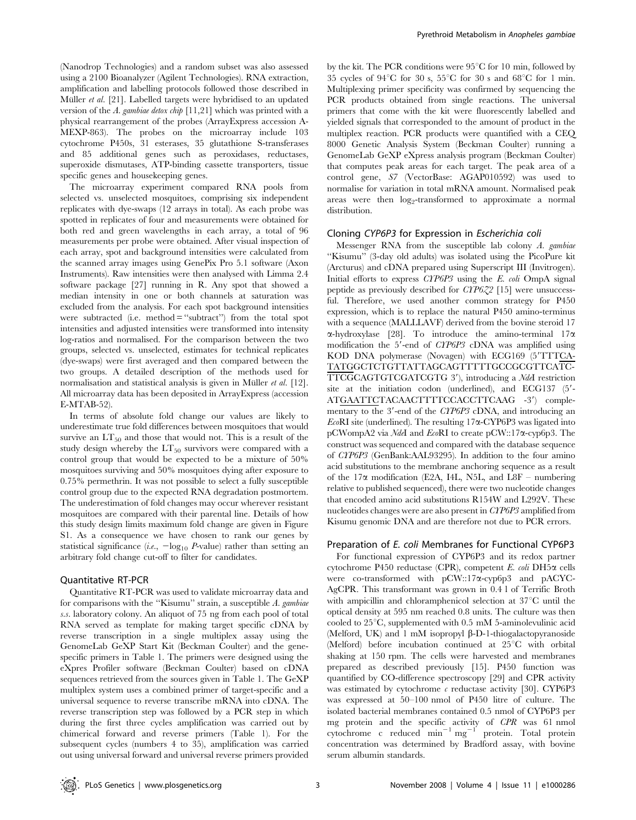(Nanodrop Technologies) and a random subset was also assessed using a 2100 Bioanalyzer (Agilent Technologies). RNA extraction, amplification and labelling protocols followed those described in Müller et al. [21]. Labelled targets were hybridised to an updated version of the A. gambiae detox chip [11,21] which was printed with a physical rearrangement of the probes (ArrayExpress accession A-MEXP-863). The probes on the microarray include 103 cytochrome P450s, 31 esterases, 35 glutathione S-transferases and 85 additional genes such as peroxidases, reductases, superoxide dismutases, ATP-binding cassette transporters, tissue specific genes and housekeeping genes.

The microarray experiment compared RNA pools from selected vs. unselected mosquitoes, comprising six independent replicates with dye-swaps (12 arrays in total). As each probe was spotted in replicates of four and measurements were obtained for both red and green wavelengths in each array, a total of 96 measurements per probe were obtained. After visual inspection of each array, spot and background intensities were calculated from the scanned array images using GenePix Pro 5.1 software (Axon Instruments). Raw intensities were then analysed with Limma 2.4 software package [27] running in R. Any spot that showed a median intensity in one or both channels at saturation was excluded from the analysis. For each spot background intensities were subtracted (i.e. method  $=$  "subtract") from the total spot intensities and adjusted intensities were transformed into intensity log-ratios and normalised. For the comparison between the two groups, selected vs. unselected, estimates for technical replicates (dye-swaps) were first averaged and then compared between the two groups. A detailed description of the methods used for normalisation and statistical analysis is given in Müller  $et$  al. [12]. All microarray data has been deposited in ArrayExpress (accession E-MTAB-52).

In terms of absolute fold change our values are likely to underestimate true fold differences between mosquitoes that would survive an  $LT_{50}$  and those that would not. This is a result of the study design whereby the  $LT_{50}$  survivors were compared with a control group that would be expected to be a mixture of 50% mosquitoes surviving and 50% mosquitoes dying after exposure to 0.75% permethrin. It was not possible to select a fully susceptible control group due to the expected RNA degradation postmortem. The underestimation of fold changes may occur wherever resistant mosquitoes are compared with their parental line. Details of how this study design limits maximum fold change are given in Figure S1. As a consequence we have chosen to rank our genes by statistical significance (*i.e.*,  $-\log_{10} P$ -value) rather than setting an arbitrary fold change cut-off to filter for candidates.

## Quantitative RT-PCR

Quantitative RT-PCR was used to validate microarray data and for comparisons with the ''Kisumu'' strain, a susceptible A. gambiae s.s. laboratory colony. An aliquot of 75 ng from each pool of total RNA served as template for making target specific cDNA by reverse transcription in a single multiplex assay using the GenomeLab GeXP Start Kit (Beckman Coulter) and the genespecific primers in Table 1. The primers were designed using the eXpres Profiler software (Beckman Coulter) based on cDNA sequences retrieved from the sources given in Table 1. The GeXP multiplex system uses a combined primer of target-specific and a universal sequence to reverse transcribe mRNA into cDNA. The reverse transcription step was followed by a PCR step in which during the first three cycles amplification was carried out by chimerical forward and reverse primers (Table 1). For the subsequent cycles (numbers 4 to 35), amplification was carried out using universal forward and universal reverse primers provided

by the kit. The PCR conditions were  $95^{\circ}$ C for 10 min, followed by 35 cycles of 94 $\mathrm{°C}$  for 30 s, 55 $\mathrm{°C}$  for 30 s and 68 $\mathrm{°C}$  for 1 min. Multiplexing primer specificity was confirmed by sequencing the PCR products obtained from single reactions. The universal primers that come with the kit were fluorescently labelled and yielded signals that corresponded to the amount of product in the multiplex reaction. PCR products were quantified with a CEQ 8000 Genetic Analysis System (Beckman Coulter) running a GenomeLab GeXP eXpress analysis program (Beckman Coulter) that computes peak areas for each target. The peak area of a control gene, S7 (VectorBase: AGAP010592) was used to normalise for variation in total mRNA amount. Normalised peak areas were then log<sub>2</sub>-transformed to approximate a normal distribution.

## Cloning CYP6P3 for Expression in Escherichia coli

Messenger RNA from the susceptible lab colony A. gambiae ''Kisumu'' (3-day old adults) was isolated using the PicoPure kit (Arcturus) and cDNA prepared using Superscript III (Invitrogen). Initial efforts to express CYP6P3 using the E. coli OmpA signal peptide as previously described for CYP6Z2 [15] were unsuccessful. Therefore, we used another common strategy for P450 expression, which is to replace the natural P450 amino-terminus with a sequence (MALLLAVF) derived from the bovine steroid 17  $\alpha$ -hydroxylase [28]. To introduce the amino-terminal 17 $\alpha$ modification the 5'-end of CYP6P3 cDNA was amplified using KOD DNA polymerase (Novagen) with ECG169 (5'TTTCA-TATGGCTCTGTTATTAGCAGTTTTTGCCGCGTTCATC-TTCGCAGTGTCGATCGTG 3'), introducing a NdeI restriction site at the initiation codon (underlined), and ECG137  $(5'$ -ATGAATTCTACAACTTTTCCACCTTCAAG -3') complementary to the 3'-end of the CYP6P3 cDNA, and introducing an  $E \circ \text{R}$ I site (underlined). The resulting 17 $\alpha$ -CYP6P3 was ligated into pCWompA2 via NdeI and EcoRI to create pCW::17a-cyp6p3. The construct was sequenced and compared with the database sequence of CYP6P3 (GenBank:AAL93295). In addition to the four amino acid substitutions to the membrane anchoring sequence as a result of the 17 $\alpha$  modification (E2A, I4L, N5L, and L8F – numbering relative to published sequenced), there were two nucleotide changes that encoded amino acid substitutions R154W and L292V. These nucleotides changes were are also present in CYP6P3 amplified from Kisumu genomic DNA and are therefore not due to PCR errors.

#### Preparation of E. coli Membranes for Functional CYP6P3

For functional expression of CYP6P3 and its redox partner cytochrome P450 reductase (CPR), competent E. coli DH5 $\alpha$  cells were co-transformed with pCW::17a-cyp6p3 and pACYC-AgCPR. This transformant was grown in 0.4 l of Terrific Broth with ampicillin and chloramphenicol selection at  $37^{\circ}$ C until the optical density at 595 nm reached 0.8 units. The culture was then cooled to  $25^{\circ}$ C, supplemented with 0.5 mM 5-aminolevulinic acid (Melford, UK) and 1 mM isopropyl  $\beta$ -D-1-thiogalactopyranoside (Melford) before incubation continued at  $25^{\circ}$ C with orbital shaking at 150 rpm. The cells were harvested and membranes prepared as described previously [15]. P450 function was quantified by CO-difference spectroscopy [29] and CPR activity was estimated by cytochrome  $\epsilon$  reductase activity [30]. CYP6P3 was expressed at 50–100 nmol of P450 litre of culture. The isolated bacterial membranes contained 0.5 nmol of CYP6P3 per mg protein and the specific activity of CPR was 61 nmol cytochrome c reduced  $\text{min}^{-1} \text{mg}^{-1}$  protein. Total protein concentration was determined by Bradford assay, with bovine serum albumin standards.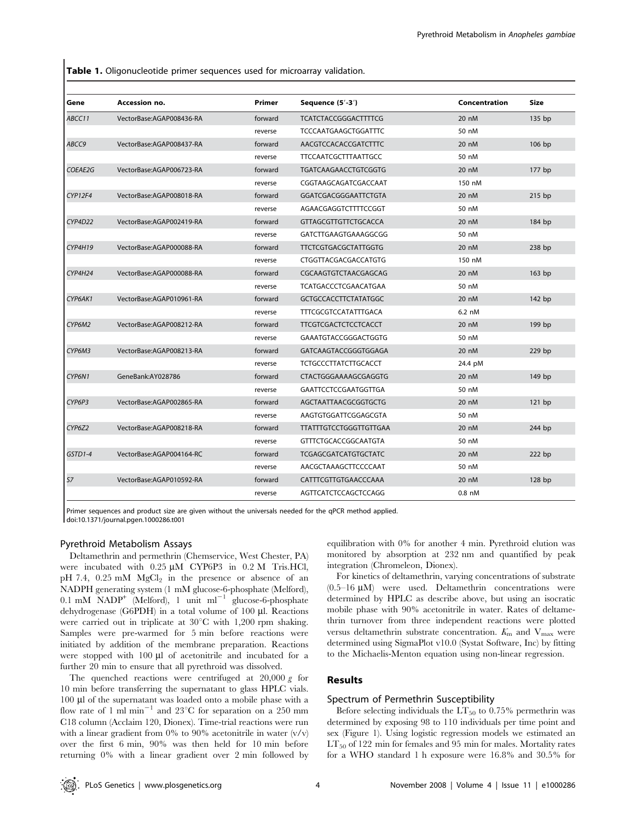Table 1. Oligonucleotide primer sequences used for microarray validation.

| Gene    | Accession no.            | Primer  | Sequence (5'-3')              | Concentration | Size   |
|---------|--------------------------|---------|-------------------------------|---------------|--------|
| ABCC11  | VectorBase:AGAP008436-RA | forward | <b>TCATCTACCGGGACTTTTCG</b>   | 20 nM         | 135 bp |
|         |                          | reverse | <b>TCCCAATGAAGCTGGATTTC</b>   | 50 nM         |        |
| ABCC9   | VectorBase:AGAP008437-RA | forward | AACGTCCACACCGATCTTTC          | 20 nM         | 106 bp |
|         |                          | reverse | <b>TTCCAATCGCTTTAATTGCC</b>   | 50 nM         |        |
| COEAE2G | VectorBase:AGAP006723-RA | forward | <b>TGATCAAGAACCTGTCGGTG</b>   | 20 nM         | 177 bp |
|         |                          | reverse | CGGTAAGCAGATCGACCAAT          | 150 nM        |        |
| CYP12F4 | VectorBase:AGAP008018-RA | forward | GGATCGACGGGAATTCTGTA          | 20 nM         | 215 bp |
|         |                          | reverse | AGAACGAGGTCTTTTCCGGT          | 50 nM         |        |
| CYP4D22 | VectorBase:AGAP002419-RA | forward | <b>GTTAGCGTTGTTCTGCACCA</b>   | 20 nM         | 184 bp |
|         |                          | reverse | GATCTTGAAGTGAAAGGCGG          | 50 nM         |        |
| CYP4H19 | VectorBase:AGAP000088-RA | forward | <b>TTCTCGTGACGCTATTGGTG</b>   | 20 nM         | 238 bp |
|         |                          | reverse | CTGGTTACGACGACCATGTG          | 150 nM        |        |
| CYP4H24 | VectorBase:AGAP000088-RA | forward | CGCAAGTGTCTAACGAGCAG          | 20 nM         | 163 bp |
|         |                          | reverse | TCATGACCCTCGAACATGAA          | 50 nM         |        |
| CYP6AK1 | VectorBase:AGAP010961-RA | forward | <b>GCTGCCACCTTCTATATGGC</b>   | 20 nM         | 142 bp |
|         |                          | reverse | <b>TTTCGCGTCCATATTTGACA</b>   | 6.2 nM        |        |
| CYP6M2  | VectorBase:AGAP008212-RA | forward | <b>TTCGTCGACTCTCCTCACCT</b>   | 20 nM         | 199 bp |
|         |                          | reverse | GAAATGTACCGGGACTGGTG          | 50 nM         |        |
| CYP6M3  | VectorBase:AGAP008213-RA | forward | GATCAAGTACCGGGTGGAGA          | 20 nM         | 229 bp |
|         |                          | reverse | <b>TCTGCCCTTATCTTGCACCT</b>   | 24.4 pM       |        |
| CYP6N1  | GeneBank:AY028786        | forward | CTACTGGGAAAAGCGAGGTG          | 20 nM         | 149 bp |
|         |                          | reverse | <b>GAATTCCTCCGAATGGTTGA</b>   | 50 nM         |        |
| CYP6P3  | VectorBase:AGAP002865-RA | forward | AGCTAATTAACGCGGTGCTG          | 20 nM         | 121 bp |
|         |                          | reverse | AAGTGTGGATTCGGAGCGTA          | 50 nM         |        |
| CYP6Z2  | VectorBase:AGAP008218-RA | forward | <b>TTATTTGTCCTGGGTTGTTGAA</b> | 20 nM         | 244 bp |
|         |                          | reverse | <b>GTTTCTGCACCGGCAATGTA</b>   | 50 nM         |        |
| GSTD1-4 | VectorBase:AGAP004164-RC | forward | <b>TCGAGCGATCATGTGCTATC</b>   | 20 nM         | 222 bp |
|         |                          | reverse | AACGCTAAAGCTTCCCCAAT          | 50 nM         |        |
| 57      | VectorBase:AGAP010592-RA | forward | CATTTCGTTGTGAACCCAAA          | 20 nM         | 128 bp |
|         |                          | reverse | AGTTCATCTCCAGCTCCAGG          | 0.8 nM        |        |

Primer sequences and product size are given without the universals needed for the qPCR method applied. doi:10.1371/journal.pgen.1000286.t001

#### Pyrethroid Metabolism Assays

Deltamethrin and permethrin (Chemservice, West Chester, PA) were incubated with 0.25 µM CYP6P3 in 0.2 M Tris.HCl, pH 7.4,  $0.25$  mM  $MgCl<sub>2</sub>$  in the presence or absence of an NADPH generating system (1 mM glucose-6-phosphate (Melford),  $0.1 \text{ mM } NADP^+$  (Melford), 1 unit ml<sup>-1</sup> glucose-6-phosphate dehydrogenase (G6PDH) in a total volume of 100 µl. Reactions were carried out in triplicate at  $30^{\circ}$ C with 1,200 rpm shaking. Samples were pre-warmed for 5 min before reactions were initiated by addition of the membrane preparation. Reactions were stopped with  $100 \mu l$  of acetonitrile and incubated for a further 20 min to ensure that all pyrethroid was dissolved.

The quenched reactions were centrifuged at 20,000 g for 10 min before transferring the supernatant to glass HPLC vials. 100 ml of the supernatant was loaded onto a mobile phase with a flow rate of 1 ml min<sup>-1</sup> and 23<sup>o</sup>C for separation on a 250 mm C18 column (Acclaim 120, Dionex). Time-trial reactions were run with a linear gradient from 0% to 90% acetonitrile in water  $(v/v)$ over the first 6 min, 90% was then held for 10 min before returning 0% with a linear gradient over 2 min followed by equilibration with 0% for another 4 min. Pyrethroid elution was monitored by absorption at 232 nm and quantified by peak integration (Chromeleon, Dionex).

For kinetics of deltamethrin, varying concentrations of substrate  $(0.5-16 \mu M)$  were used. Deltamethrin concentrations were determined by HPLC as describe above, but using an isocratic mobile phase with 90% acetonitrile in water. Rates of deltamethrin turnover from three independent reactions were plotted versus deltamethrin substrate concentration.  $K_{\text{m}}$  and  $V_{\text{max}}$  were determined using SigmaPlot v10.0 (Systat Software, Inc) by fitting to the Michaelis-Menton equation using non-linear regression.

# Results

### Spectrum of Permethrin Susceptibility

Before selecting individuals the  $LT_{50}$  to 0.75% permethrin was determined by exposing 98 to 110 individuals per time point and sex (Figure 1). Using logistic regression models we estimated an  $LT_{50}$  of 122 min for females and 95 min for males. Mortality rates for a WHO standard 1 h exposure were 16.8% and 30.5% for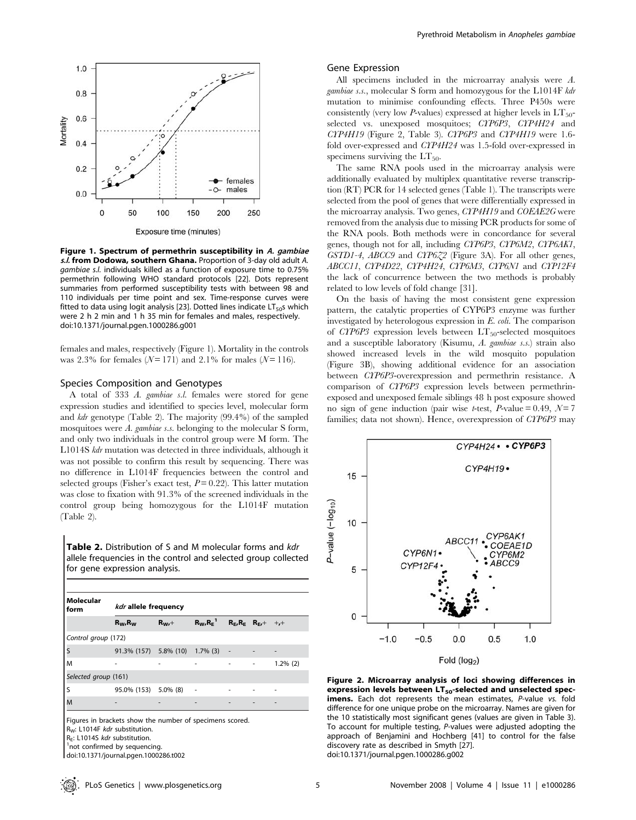

Figure 1. Spectrum of permethrin susceptibility in A. gambiae s.l. from Dodowa, southern Ghana. Proportion of 3-day old adult A. gambiae s.l. individuals killed as a function of exposure time to 0.75% permethrin following WHO standard protocols [22]. Dots represent summaries from performed susceptibility tests with between 98 and 110 individuals per time point and sex. Time-response curves were fitted to data using logit analysis [23]. Dotted lines indicate  $LT<sub>50</sub>s$  which were 2 h 2 min and 1 h 35 min for females and males, respectively. doi:10.1371/journal.pgen.1000286.g001

females and males, respectively (Figure 1). Mortality in the controls was 2.3% for females ( $N = 171$ ) and 2.1% for males ( $N = 116$ ).

## Species Composition and Genotypes

A total of 333 A. gambiae s.l. females were stored for gene expression studies and identified to species level, molecular form and kdr genotype (Table 2). The majority (99.4%) of the sampled mosquitoes were A. gambiae s.s. belonging to the molecular S form, and only two individuals in the control group were M form. The L1014S kdr mutation was detected in three individuals, although it was not possible to confirm this result by sequencing. There was no difference in L1014F frequencies between the control and selected groups (Fisher's exact test,  $P = 0.22$ ). This latter mutation was close to fixation with 91.3% of the screened individuals in the control group being homozygous for the L1014F mutation (Table 2).

Table 2. Distribution of S and M molecular forms and kdr allele frequencies in the control and selected group collected for gene expression analysis.

| Molecular<br>form    | kdr allele frequency             |            |                 |  |                                    |             |  |
|----------------------|----------------------------------|------------|-----------------|--|------------------------------------|-------------|--|
|                      | $R_W, R_W$                       | $R_{Wt}$ + | $R_W, R_E^{-1}$ |  | $R_{E}$ , $R_{E}$ $R_{E}$ , + +, + |             |  |
| Control group (172)  |                                  |            |                 |  |                                    |             |  |
| S                    | 91.3% (157) 5.8% (10) 1.7% (3) - |            |                 |  |                                    |             |  |
| M                    |                                  |            |                 |  |                                    | $1.2\%$ (2) |  |
| Selected group (161) |                                  |            |                 |  |                                    |             |  |
| S                    | 95.0% (153) 5.0% (8)             |            |                 |  |                                    |             |  |
| M                    |                                  |            |                 |  |                                    |             |  |

doi:10.1371/journal.pgen.1000286.t002

### Gene Expression

All specimens included in the microarray analysis were A. gambiae s.s., molecular S form and homozygous for the L1014F kdr mutation to minimise confounding effects. Three P450s were consistently (very low P-values) expressed at higher levels in  $LT_{50}$ selected vs. unexposed mosquitoes; CYP6P3, CYP4H24 and CYP4H19 (Figure 2, Table 3). CYP6P3 and CYP4H19 were 1.6 fold over-expressed and CYP4H24 was 1.5-fold over-expressed in specimens surviving the  $LT_{50}$ .

The same RNA pools used in the microarray analysis were additionally evaluated by multiplex quantitative reverse transcription (RT) PCR for 14 selected genes (Table 1). The transcripts were selected from the pool of genes that were differentially expressed in the microarray analysis. Two genes, CYP4H19 and COEAE2G were removed from the analysis due to missing PCR products for some of the RNA pools. Both methods were in concordance for several genes, though not for all, including CYP6P3, CYP6M2, CYP6AK1, GSTD1-4, ABCC9 and CYP6Z2 (Figure 3A). For all other genes, ABCC11, CYP4D22, CYP4H24, CYP6M3, CYP6N1 and CYP12F4 the lack of concurrence between the two methods is probably related to low levels of fold change [31].

On the basis of having the most consistent gene expression pattern, the catalytic properties of CYP6P3 enzyme was further investigated by heterologous expression in E. coli. The comparison of CYP6P3 expression levels between  $LT_{50}$ -selected mosquitoes and a susceptible laboratory (Kisumu, A. gambiae s.s.) strain also showed increased levels in the wild mosquito population (Figure 3B), showing additional evidence for an association between CYP6P3-overexpression and permethrin resistance. A comparison of CYP6P3 expression levels between permethrinexposed and unexposed female siblings 48 h post exposure showed no sign of gene induction (pair wise t-test, P-value =  $0.49, \mathcal{N} = 7$ families; data not shown). Hence, overexpression of CYP6P3 may



Figure 2. Microarray analysis of loci showing differences in expression levels between  $LT_{50}$ -selected and unselected specimens. Each dot represents the mean estimates, P-value vs. fold difference for one unique probe on the microarray. Names are given for the 10 statistically most significant genes (values are given in Table 3). To account for multiple testing, P-values were adjusted adopting the approach of Benjamini and Hochberg [41] to control for the false discovery rate as described in Smyth [27]. doi:10.1371/journal.pgen.1000286.g002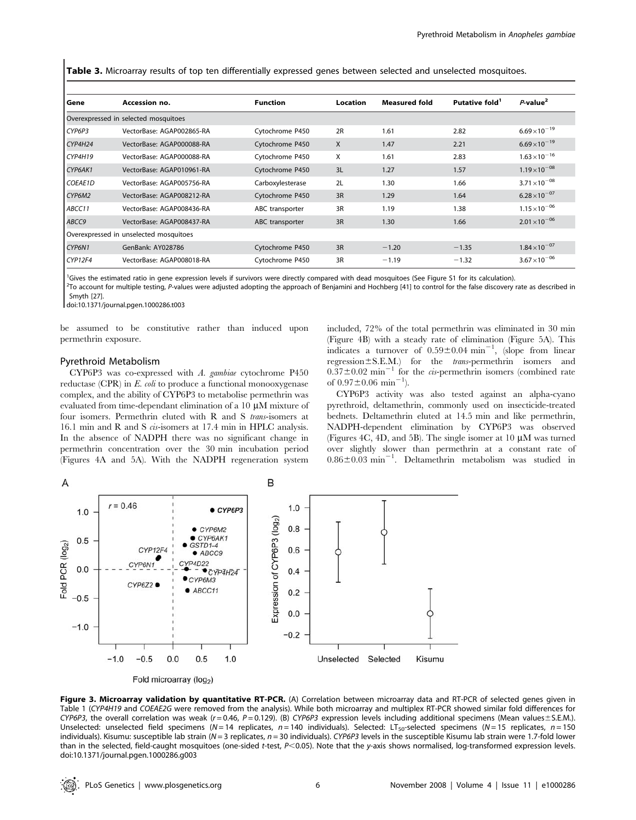Table 3. Microarray results of top ten differentially expressed genes between selected and unselected mosquitoes.

| Gene    | Accession no.                          | <b>Function</b>  | Location | <b>Measured fold</b> | Putative fold <sup>1</sup> | $P$ -value <sup>2</sup> |
|---------|----------------------------------------|------------------|----------|----------------------|----------------------------|-------------------------|
|         | Overexpressed in selected mosquitoes   |                  |          |                      |                            |                         |
| CYP6P3  | VectorBase: AGAP002865-RA              | Cytochrome P450  | 2R       | 1.61                 | 2.82                       | $6.69\times10^{-19}$    |
| CYP4H24 | VectorBase: AGAP000088-RA              | Cytochrome P450  | X        | 1.47                 | 2.21                       | $6.69\times10^{-19}$    |
| CYPAH19 | VectorBase: AGAP000088-RA              | Cytochrome P450  | X        | 1.61                 | 2.83                       | $1.63 \times 10^{-16}$  |
| CYP6AK1 | VectorBase: AGAP010961-RA              | Cytochrome P450  | 3L       | 1.27                 | 1.57                       | $1.19\times10^{-08}$    |
| COEAE1D | VectorBase: AGAP005756-RA              | Carboxylesterase | 2L       | 1.30                 | 1.66                       | $3.71 \times 10^{-08}$  |
| CYP6M2  | VectorBase: AGAP008212-RA              | Cytochrome P450  | 3R       | 1.29                 | 1.64                       | $6.28 \times 10^{-07}$  |
| ABCC11  | VectorBase: AGAP008436-RA              | ABC transporter  | 3R       | 1.19                 | 1.38                       | $1.15 \times 10^{-06}$  |
| ABCC9   | VectorBase: AGAP008437-RA              | ABC transporter  | 3R       | 1.30                 | 1.66                       | $2.01 \times 10^{-06}$  |
|         | Overexpressed in unselected mosquitoes |                  |          |                      |                            |                         |
| CYP6N1  | GenBank: AY028786                      | Cytochrome P450  | 3R       | $-1.20$              | $-1.35$                    | $1.84\times10^{-07}$    |
| CYP12F4 | VectorBase: AGAP008018-RA              | Cytochrome P450  | 3R       | $-1.19$              | $-1.32$                    | $3.67\times10^{-06}$    |

<sup>1</sup>Gives the estimated ratio in gene expression levels if survivors were directly compared with dead mosquitoes (See Figure S1 for its calculation).

<sup>2</sup>To account for multiple testing, P-values were adjusted adopting the approach of Benjamini and Hochberg [41] to control for the false discovery rate as described in Smyth [27].

doi:10.1371/journal.pgen.1000286.t003

be assumed to be constitutive rather than induced upon permethrin exposure.

#### Pyrethroid Metabolism

CYP6P3 was co-expressed with A. gambiae cytochrome P450 reductase (CPR) in  $E.$  coli to produce a functional monooxygenase complex, and the ability of CYP6P3 to metabolise permethrin was evaluated from time-dependant elimination of a  $10 \mu M$  mixture of four isomers. Permethrin eluted with R and S trans-isomers at 16.1 min and R and S cis-isomers at 17.4 min in HPLC analysis. In the absence of NADPH there was no significant change in permethrin concentration over the 30 min incubation period (Figures 4A and 5A). With the NADPH regeneration system included, 72% of the total permethrin was eliminated in 30 min (Figure 4B) with a steady rate of elimination (Figure 5A). This indicates a turnover of  $0.59 \pm 0.04$  min<sup>-1</sup>, (slope from linear  $regression \pm S.E.M.$ ) for the *trans*-permethrin isomers and  $0.37\pm0.02$  min<sup>-1</sup> for the *cis*-permethrin isomers (combined rate of  $0.97 \pm 0.06$  min<sup>-1</sup>).

CYP6P3 activity was also tested against an alpha-cyano pyrethroid, deltamethrin, commonly used on insecticide-treated bednets. Deltamethrin eluted at 14.5 min and like permethrin, NADPH-dependent elimination by CYP6P3 was observed (Figures 4C, 4D, and 5B). The single isomer at 10  $\mu$ M was turned over slightly slower than permethrin at a constant rate of  $0.86 \pm 0.03$  min<sup>-1</sup>. Deltamethrin metabolism was studied in



Figure 3. Microarray validation by quantitative RT-PCR. (A) Correlation between microarray data and RT-PCR of selected genes given in Table 1 (CYP4H19 and COEAE2G were removed from the analysis). While both microarray and multiplex RT-PCR showed similar fold differences for CYP6P3, the overall correlation was weak (r = 0.46, P = 0.129). (B) CYP6P3 expression levels including additional specimens (Mean values ± S.E.M.). Unselected: unselected field specimens (N = 14 replicates, n = 140 individuals). Selected: LT<sub>50</sub>-selected specimens (N = 15 replicates, n = 150 individuals). Kisumu: susceptible lab strain (N = 3 replicates, n = 30 individuals). CYP6P3 levels in the susceptible Kisumu lab strain were 1.7-fold lower than in the selected, field-caught mosquitoes (one-sided t-test,  $P<0.05$ ). Note that the y-axis shows normalised, log-transformed expression levels. doi:10.1371/journal.pgen.1000286.g003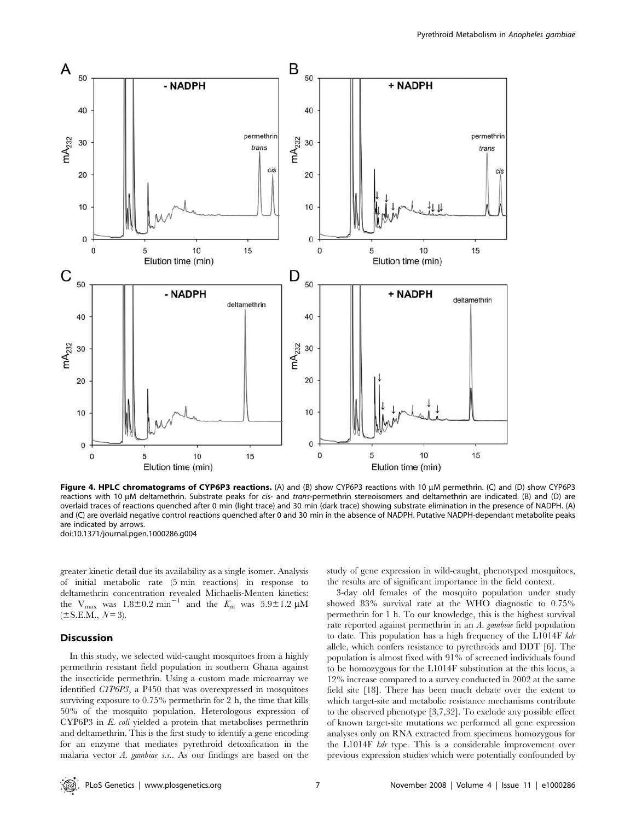

Figure 4. HPLC chromatograms of CYP6P3 reactions. (A) and (B) show CYP6P3 reactions with 10  $\mu$ M permethrin. (C) and (D) show CYP6P3 reactions with 10 µM deltamethrin. Substrate peaks for cis- and trans-permethrin stereoisomers and deltamethrin are indicated. (B) and (D) are overlaid traces of reactions quenched after 0 min (light trace) and 30 min (dark trace) showing substrate elimination in the presence of NADPH. (A) and (C) are overlaid negative control reactions quenched after 0 and 30 min in the absence of NADPH. Putative NADPH-dependant metabolite peaks are indicated by arrows. doi:10.1371/journal.pgen.1000286.g004

greater kinetic detail due its availability as a single isomer. Analysis of initial metabolic rate (5 min reactions) in response to deltamethrin concentration revealed Michaelis-Menten kinetics: the  $V_{\text{max}}$  was  $1.8 \pm 0.2$  min<sup>-1</sup> and the  $K_{\text{m}}$  was  $5.9 \pm 1.2$   $\mu$ M  $(\pm S.E.M., \mathcal{N}= 3).$ 

# **Discussion**

In this study, we selected wild-caught mosquitoes from a highly permethrin resistant field population in southern Ghana against the insecticide permethrin. Using a custom made microarray we identified CYP6P3, a P450 that was overexpressed in mosquitoes surviving exposure to 0.75% permethrin for 2 h, the time that kills 50% of the mosquito population. Heterologous expression of CYP6P3 in E. coli yielded a protein that metabolises permethrin and deltamethrin. This is the first study to identify a gene encoding for an enzyme that mediates pyrethroid detoxification in the malaria vector A. gambiae s.s.. As our findings are based on the

study of gene expression in wild-caught, phenotyped mosquitoes, the results are of significant importance in the field context.

3-day old females of the mosquito population under study showed 83% survival rate at the WHO diagnostic to 0.75% permethrin for 1 h. To our knowledge, this is the highest survival rate reported against permethrin in an A. gambiae field population to date. This population has a high frequency of the L1014F kdr allele, which confers resistance to pyrethroids and DDT [6]. The population is almost fixed with 91% of screened individuals found to be homozygous for the L1014F substitution at the this locus, a 12% increase compared to a survey conducted in 2002 at the same field site [18]. There has been much debate over the extent to which target-site and metabolic resistance mechanisms contribute to the observed phenotype [3,7,32]. To exclude any possible effect of known target-site mutations we performed all gene expression analyses only on RNA extracted from specimens homozygous for the L1014F kdr type. This is a considerable improvement over previous expression studies which were potentially confounded by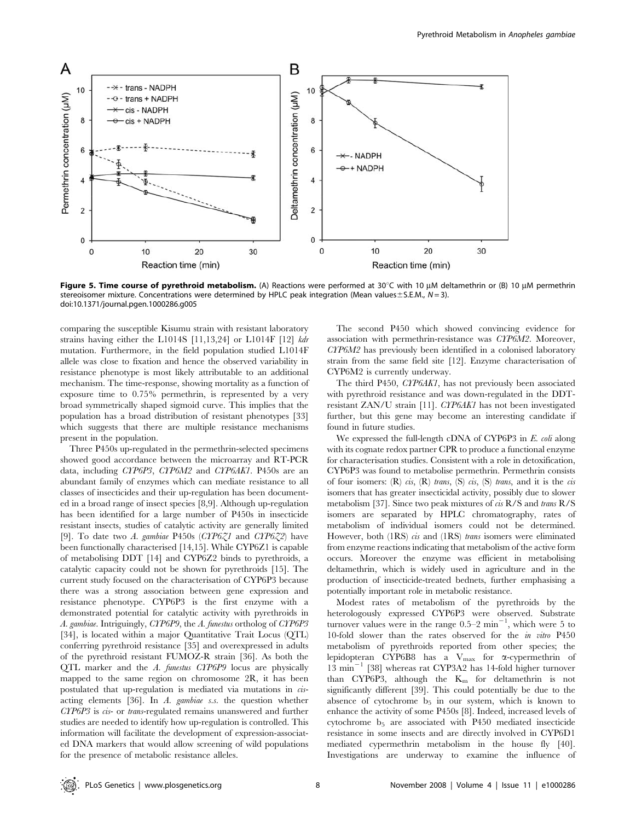

Figure 5. Time course of pyrethroid metabolism. (A) Reactions were performed at 30°C with 10  $\mu$ M deltamethrin or (B) 10  $\mu$ M permethrin stereoisomer mixture. Concentrations were determined by HPLC peak integration (Mean values $\pm$ S.E.M., N = 3). doi:10.1371/journal.pgen.1000286.g005

comparing the susceptible Kisumu strain with resistant laboratory strains having either the L1014S [11,13,24] or L1014F [12] kdr mutation. Furthermore, in the field population studied L1014F allele was close to fixation and hence the observed variability in resistance phenotype is most likely attributable to an additional mechanism. The time-response, showing mortality as a function of exposure time to 0.75% permethrin, is represented by a very broad symmetrically shaped sigmoid curve. This implies that the population has a broad distribution of resistant phenotypes [33] which suggests that there are multiple resistance mechanisms present in the population.

Three P450s up-regulated in the permethrin-selected specimens showed good accordance between the microarray and RT-PCR data, including CYP6P3, CYP6M2 and CYP6AK1. P450s are an abundant family of enzymes which can mediate resistance to all classes of insecticides and their up-regulation has been documented in a broad range of insect species [8,9]. Although up-regulation has been identified for a large number of P450s in insecticide resistant insects, studies of catalytic activity are generally limited [9]. To date two A. gambiae P450s (CYP6 $Z1$  and CYP6 $Z2$ ) have been functionally characterised [14,15]. While CYP6Z1 is capable of metabolising DDT [14] and CYP6Z2 binds to pyrethroids, a catalytic capacity could not be shown for pyrethroids [15]. The current study focused on the characterisation of CYP6P3 because there was a strong association between gene expression and resistance phenotype. CYP6P3 is the first enzyme with a demonstrated potential for catalytic activity with pyrethroids in A. gambiae. Intriguingly, CYP6P9, the A. funestus ortholog of CYP6P3 [34], is located within a major Quantitative Trait Locus (QTL) conferring pyrethroid resistance [35] and overexpressed in adults of the pyrethroid resistant FUMOZ-R strain [36]. As both the QTL marker and the A. funestus CYP6P9 locus are physically mapped to the same region on chromosome 2R, it has been postulated that up-regulation is mediated via mutations in cisacting elements [36]. In A. gambiae s.s. the question whether CYP6P3 is cis- or trans-regulated remains unanswered and further studies are needed to identify how up-regulation is controlled. This information will facilitate the development of expression-associated DNA markers that would allow screening of wild populations for the presence of metabolic resistance alleles.

The second P450 which showed convincing evidence for association with permethrin-resistance was CYP6M2. Moreover, CYP6M2 has previously been identified in a colonised laboratory strain from the same field site [12]. Enzyme characterisation of CYP6M2 is currently underway.

The third P450, CYP6AK1, has not previously been associated with pyrethroid resistance and was down-regulated in the DDTresistant ZAN/U strain [11]. CYP6AK1 has not been investigated further, but this gene may become an interesting candidate if found in future studies.

We expressed the full-length cDNA of CYP6P3 in E. coli along with its cognate redox partner CPR to produce a functional enzyme for characterisation studies. Consistent with a role in detoxification, CYP6P3 was found to metabolise permethrin. Permethrin consists of four isomers:  $(R)$  cis,  $(R)$  trans,  $(S)$  cis,  $(S)$  trans, and it is the cis isomers that has greater insecticidal activity, possibly due to slower metabolism [37]. Since two peak mixtures of cis R/S and trans R/S isomers are separated by HPLC chromatography, rates of metabolism of individual isomers could not be determined. However, both (1RS) cis and (1RS) trans isomers were eliminated from enzyme reactions indicating that metabolism of the active form occurs. Moreover the enzyme was efficient in metabolising deltamethrin, which is widely used in agriculture and in the production of insecticide-treated bednets, further emphasising a potentially important role in metabolic resistance.

Modest rates of metabolism of the pyrethroids by the heterologously expressed CYP6P3 were observed. Substrate turnover values were in the range  $0.5-2$  min<sup>-1</sup>, which were 5 to 10-fold slower than the rates observed for the in vitro P450 metabolism of pyrethroids reported from other species; the lepidopteran CYP6B8 has a  $V_{\rm max}$  for  $\alpha$ -cypermethrin of  $13$  min<sup>-1</sup> [38] whereas rat CYP3A2 has 14-fold higher turnover than CYP6P3, although the  $K_m$  for deltamethrin is not significantly different [39]. This could potentially be due to the absence of cytochrome  $b_5$  in our system, which is known to enhance the activity of some P450s [8]. Indeed, increased levels of cytochrome b5 are associated with P450 mediated insecticide resistance in some insects and are directly involved in CYP6D1 mediated cypermethrin metabolism in the house fly [40]. Investigations are underway to examine the influence of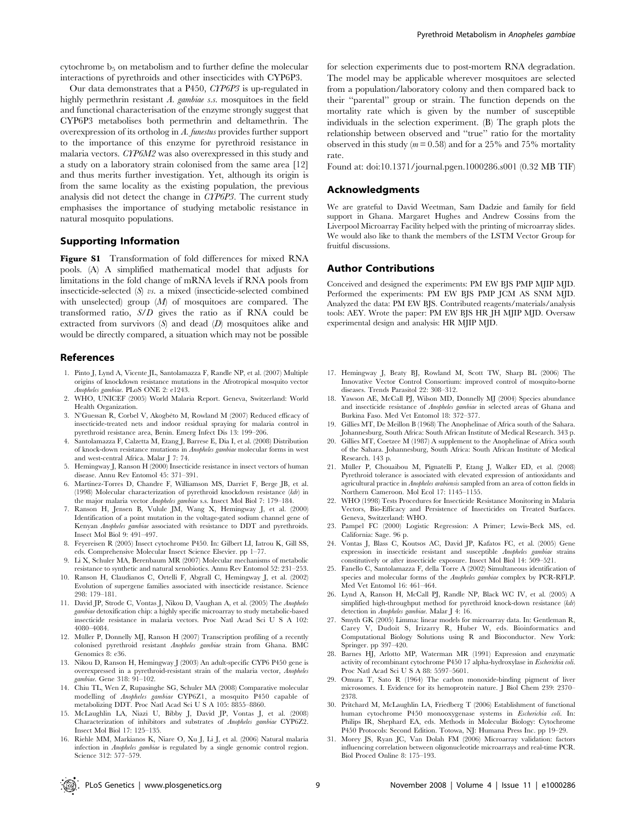cytochrome  $b_5$  on metabolism and to further define the molecular interactions of pyrethroids and other insecticides with CYP6P3.

Our data demonstrates that a P450, CYP6P3 is up-regulated in highly permethrin resistant A. gambiae s.s. mosquitoes in the field and functional characterisation of the enzyme strongly suggest that CYP6P3 metabolises both permethrin and deltamethrin. The overexpression of its ortholog in A. funestus provides further support to the importance of this enzyme for pyrethroid resistance in malaria vectors. CYP6M2 was also overexpressed in this study and a study on a laboratory strain colonised from the same area [12] and thus merits further investigation. Yet, although its origin is from the same locality as the existing population, the previous analysis did not detect the change in CYP6P3. The current study emphasises the importance of studying metabolic resistance in natural mosquito populations.

# Supporting Information

Figure S1 Transformation of fold differences for mixed RNA pools. (A) A simplified mathematical model that adjusts for limitations in the fold change of mRNA levels if RNA pools from insecticide-selected (S) vs. a mixed (insecticide-selected combined with unselected) group  $(M)$  of mosquitoes are compared. The transformed ratio, S/D gives the ratio as if RNA could be extracted from survivors  $(S)$  and dead  $(D)$  mosquitoes alike and would be directly compared, a situation which may not be possible

#### References

- 1. Pinto J, Lynd A, Vicente JL, Santolamazza F, Randle NP, et al. (2007) Multiple origins of knockdown resistance mutations in the Afrotropical mosquito vector Anopheles gambiae. PLoS ONE 2: e1243.
- 2. WHO, UNICEF (2005) World Malaria Report. Geneva, Switzerland: World Health Organization.
- 3. N'Guessan R, Corbel V, Akogbéto M, Rowland M (2007) Reduced efficacy of insecticide-treated nets and indoor residual spraying for malaria control in pyrethroid resistance area, Benin. Emerg Infect Dis 13: 199–206.
- 4. Santolamazza F, Calzetta M, Etang J, Barrese E, Dia I, et al. (2008) Distribution of knock-down resistance mutations in Anopheles gambiae molecular forms in west and west-central Africa. Malar J 7: 74.
- 5. Hemingway J, Ranson H (2000) Insecticide resistance in insect vectors of human disease. Annu Rev Entomol 45: 371–391.
- 6. Martinez-Torres D, Chandre F, Williamson MS, Darriet F, Berge JB, et al. (1998) Molecular characterization of pyrethroid knockdown resistance (kdr) in the major malaria vector Anopheles gambiae s.s. Insect Mol Biol 7: 179–184.
- 7. Ranson H, Jensen B, Vulule JM, Wang X, Hemingway J, et al. (2000) Identification of a point mutation in the voltage-gated sodium channel gene of Kenyan Anopheles gambiae associated with resistance to DDT and pyrethroids. Insect Mol Biol 9: 491–497.
- 8. Feyereisen R (2005) Insect cytochrome P450. In: Gilbert LI, Iatrou K, Gill SS, eds. Comprehensive Molecular Insect Science Elsevier. pp 1–77.
- 9. Li X, Schuler MA, Berenbaum MR (2007) Molecular mechanisms of metabolic resistance to synthetic and natural xenobiotics. Annu Rev Entomol 52: 231–253.
- 10. Ranson H, Claudianos C, Ortelli F, Abgrall C, Hemingway J, et al. (2002) Evolution of supergene families associated with insecticide resistance. Science 298: 179–181.
- 11. David JP, Strode C, Vontas J, Nikou D, Vaughan A, et al. (2005) The Anopheles gambiae detoxification chip: a highly specific microarray to study metabolic-based insecticide resistance in malaria vectors. Proc Natl Acad Sci U S A 102: 4080–4084.
- 12. Müller P, Donnelly MJ, Ranson H (2007) Transcription profiling of a recently colonised pyrethroid resistant Anopheles gambiae strain from Ghana. BMC Genomics 8: e36.
- 13. Nikou D, Ranson H, Hemingway J (2003) An adult-specific CYP6 P450 gene is overexpressed in a pyrethroid-resistant strain of the malaria vector, Anopheles gambiae. Gene 318: 91–102.
- 14. Chiu TL, Wen Z, Rupasinghe SG, Schuler MA (2008) Comparative molecular modelling of Anopheles gambiae CYP6Z1, a mosquito P450 capable of metabolizing DDT. Proc Natl Acad Sci U S A 105: 8855–8860.
- 15. McLaughlin LA, Niazi U, Bibby J, David JP, Vontas J, et al. (2008) Characterization of inhibitors and substrates of Anopheles gambiae CYP6Z2. Insect Mol Biol 17: 125–135.
- 16. Riehle MM, Markianos K, Niare O, Xu J, Li J, et al. (2006) Natural malaria infection in Anopheles gambiae is regulated by a single genomic control region. Science 312: 577–579.

for selection experiments due to post-mortem RNA degradation. The model may be applicable wherever mosquitoes are selected from a population/laboratory colony and then compared back to their ''parental'' group or strain. The function depends on the mortality rate which is given by the number of susceptible individuals in the selection experiment. (B) The graph plots the relationship between observed and ''true'' ratio for the mortality observed in this study ( $m = 0.58$ ) and for a 25% and 75% mortality rate.

Found at: doi:10.1371/journal.pgen.1000286.s001 (0.32 MB TIF)

#### Acknowledgments

We are grateful to David Weetman, Sam Dadzie and family for field support in Ghana. Margaret Hughes and Andrew Cossins from the Liverpool Microarray Facility helped with the printing of microarray slides. We would also like to thank the members of the LSTM Vector Group for fruitful discussions.

# Author Contributions

Conceived and designed the experiments: PM EW BJS PMP MJIP MJD. Performed the experiments: PM EW BJS PMP JCM AS SNM MJD. Analyzed the data: PM EW BJS. Contributed reagents/materials/analysis tools: AEY. Wrote the paper: PM EW BJS HR JH MJIP MJD. Oversaw experimental design and analysis: HR MJIP MJD.

- 17. Hemingway J, Beaty BJ, Rowland M, Scott TW, Sharp BL (2006) The Innovative Vector Control Consortium: improved control of mosquito-borne diseases. Trends Parasitol 22: 308–312.
- 18. Yawson AE, McCall PJ, Wilson MD, Donnelly MJ (2004) Species abundance and insecticide resistance of Anopheles gambiae in selected areas of Ghana and Burkina Faso. Med Vet Entomol 18: 372–377.
- 19. Gillies MT, De Meillon B (1968) The Anophelinae of Africa south of the Sahara. Johannesburg, South Africa: South African Institute of Medical Research. 343 p.
- 20. Gillies MT, Coetzee M (1987) A supplement to the Anophelinae of Africa south of the Sahara. Johannesburg, South Africa: South African Institute of Medical Research. 143 p.
- 21. Müller P, Chouaibou M, Pignatelli P, Etang J, Walker ED, et al. (2008) Pyrethroid tolerance is associated with elevated expression of antioxidants and agricultural practice in Anopheles arabiensis sampled from an area of cotton fields in Northern Cameroon. Mol Ecol 17: 1145–1155.
- 22. WHO (1998) Tests Procedures for Insecticide Resistance Monitoring in Malaria Vectors, Bio-Efficacy and Persistence of Insecticides on Treated Surfaces. Geneva, Switzerland: WHO.
- 23. Pampel FC (2000) Logistic Regression: A Primer; Lewis-Beck MS, ed. California: Sage. 96 p.
- 24. Vontas J, Blass C, Koutsos AC, David JP, Kafatos FC, et al. (2005) Gene expression in insecticide resistant and susceptible Anopheles gambiae strains constitutively or after insecticide exposure. Insect Mol Biol 14: 509–521.
- 25. Fanello C, Santolamazza F, della Torre A (2002) Simultaneous identification of species and molecular forms of the Anopheles gambiae complex by PCR-RFLP. Med Vet Entomol 16: 461–464.
- 26. Lynd A, Ranson H, McCall PJ, Randle NP, Black WC IV, et al. (2005) A simplified high-throughput method for pyrethroid knock-down resistance (kdr) detection in Anopheles gambiae. Malar J 4: 16.
- 27. Smyth GK (2005) Limma: linear models for microarray data. In: Gentleman R, Carey V, Dudoit S, Irizarry R, Huber W, eds. Bioinformatics and Computational Biology Solutions using R and Bioconductor. New York: Springer. pp 397–420.
- 28. Barnes HJ, Arlotto MP, Waterman MR (1991) Expression and enzymatic activity of recombinant cytochrome P450 17 alpha-hydroxylase in Escherichia coli. Proc Natl Acad Sci U S A 88: 5597–5601.
- 29. Omura T, Sato R (1964) The carbon monoxide-binding pigment of liver microsomes. I. Evidence for its hemoprotein nature. J Biol Chem 239: 2370– 2378.
- 30. Pritchard M, McLaughlin LA, Friedberg T (2006) Establishment of functional human cytochrome P450 monooxygenase systems in Escherichia coli. In: Philips IR, Shephard EA, eds. Methods in Molecular Biology: Cytochrome P450 Protocols: Second Edition. Totowa, NJ: Humana Press Inc. pp 19–29.
- 31. Morey JS, Ryan JC, Van Dolah FM (2006) Microarray validation: factors influencing correlation between oligonucleotide microarrays and real-time PCR. Biol Proced Online 8: 175–193.